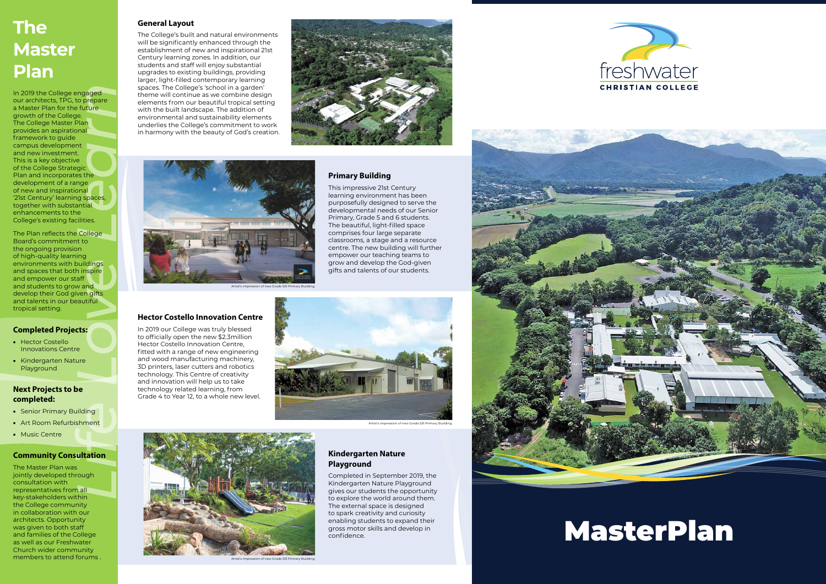#### **General Layout**

The College's built and natural environments will be significantly enhanced through the establishment of new and inspirational 21st Century learning zones. In addition, our students and staff will enjoy substantial upgrades to existing buildings, providing larger, light-filled contemporary learning spaces. The College's 'school in a garden' theme will continue as we combine design elements from our beautiful tropical setting with the built landscape. The addition of environmental and sustainability elements underlies the College's commitment to work in harmony with the beauty of God's creation.





#### **Primary Building**

This impressive 21st Century learning environment has been purposefully designed to serve the developmental needs of our Senior Primary, Grade 5 and 6 students. The beautiful, light-filled space comprises four large separate classrooms, a stage and a resource centre. The new building will further empower our teaching teams to grow and develop the God-given gifts and talents of our students.

#### **Hector Costello Innovation Centre**

**Example 18**<br> **Life Control Control Control Control Control Control Control Control Control Control Control Control Control Control Control Control Control Control Control Control Control Control Control Control Control Co** In 2019 the College engaged our architects, TPG, to prepare a Master Plan for the future growth of the College. The College Master Plan provides an aspirational framework to guide campus development and new investment. This is a key objective of the College Strategic Plan and incorporates the development of a range of new and inspirational '21st Century' learning spaces, together with substantial enhancements to the College's existing facilities.

In 2019 our College was truly blessed to officially open the new \$2.3million Hector Costello Innovation Centre, fitted with a range of new engineering and wood manufacturing machinery, 3D printers, laser cutters and robotics technology. This Centre of creativity and innovation will help us to take technology related learning, from Grade 4 to Year 12, to a whole new level.



Artist's impression of new Grade 5/6 Primary Build

#### **Kindergarten Nature Playground**

Completed in September 2019, the Kindergarten Nature Playground gives our students the opportunity to explore the world around them. The external space is designed to spark creativity and curiosity enabling students to expand their gross motor skills and develop in confidence.







Artist's impression of new Grade 5/6 Primary Building.



## MasterPlan

### **The Master Plan**

The Plan reflects the College Board's commitment to the ongoing provision of high-quality learning environments with buildings and spaces that both inspire and empower our staff and students to grow and develop their God given gifts and talents in our beautiful tropical setting.

#### **Completed Projects:**

- Hector Costello Innovations Centre
- Kindergarten Nature Playground

#### **Next Projects to be completed:**

- Senior Primary Building
- Art Room Refurbishment
- Music Centre

#### **Community Consultation**

The Master Plan was jointly developed through consultation with representatives from all key-stakeholders within the College community in collaboration with our architects. Opportunity was given to both staff and families of the College as well as our Freshwater Church wider community members to attend forums .